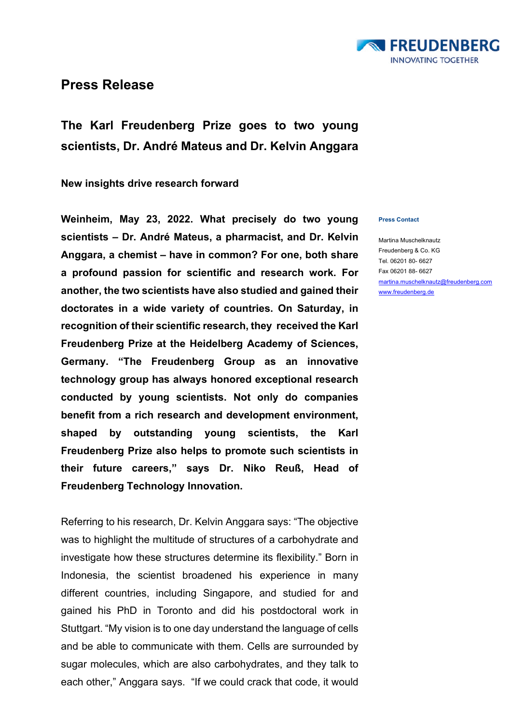

## **Press Release**

**The Karl Freudenberg Prize goes to two young scientists, Dr. André Mateus and Dr. Kelvin Anggara** 

**New insights drive research forward**

**Weinheim, May 23, 2022. What precisely do two young scientists – Dr. André Mateus, a pharmacist, and Dr. Kelvin Anggara, a chemist – have in common? For one, both share a profound passion for scientific and research work. For another, the two scientists have also studied and gained their doctorates in a wide variety of countries. On Saturday, in recognition of their scientific research, they received the Karl Freudenberg Prize at the Heidelberg Academy of Sciences, Germany. "The Freudenberg Group as an innovative technology group has always honored exceptional research conducted by young scientists. Not only do companies benefit from a rich research and development environment, shaped by outstanding young scientists, the Karl Freudenberg Prize also helps to promote such scientists in their future careers," says Dr. Niko Reuß, Head of Freudenberg Technology Innovation.**

Referring to his research, Dr. Kelvin Anggara says: "The objective was to highlight the multitude of structures of a carbohydrate and investigate how these structures determine its flexibility." Born in Indonesia, the scientist broadened his experience in many different countries, including Singapore, and studied for and gained his PhD in Toronto and did his postdoctoral work in Stuttgart. "My vision is to one day understand the language of cells and be able to communicate with them. Cells are surrounded by sugar molecules, which are also carbohydrates, and they talk to each other," Anggara says. "If we could crack that code, it would

## **Press Contact**

Martina Muschelknautz Freudenberg & Co. KG Tel. 06201 80- 6627 Fax 06201 88- 6627 [martina.muschelknautz@freudenberg.com](mailto:martina.muschelknautz@freudenberg.com) [www.freudenberg.de](http://www.freudenberg.de/)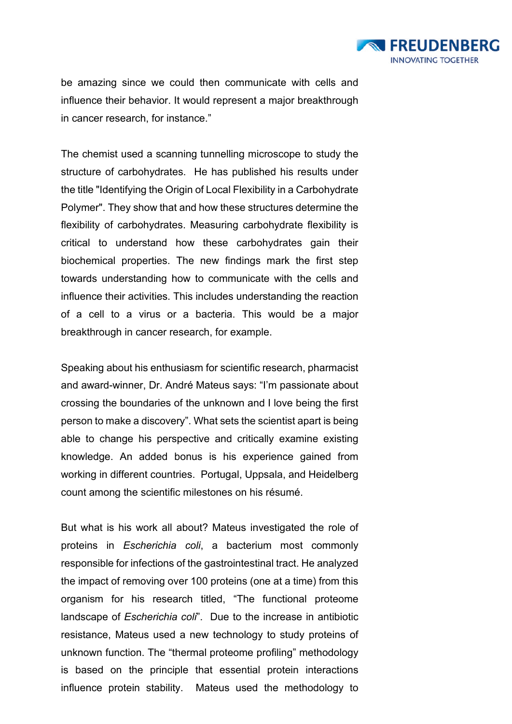

be amazing since we could then communicate with cells and influence their behavior. It would represent a major breakthrough in cancer research, for instance."

The chemist used a scanning tunnelling microscope to study the structure of carbohydrates. He has published his results under the title "Identifying the Origin of Local Flexibility in a Carbohydrate Polymer". They show that and how these structures determine the flexibility of carbohydrates. Measuring carbohydrate flexibility is critical to understand how these carbohydrates gain their biochemical properties. The new findings mark the first step towards understanding how to communicate with the cells and influence their activities. This includes understanding the reaction of a cell to a virus or a bacteria. This would be a major breakthrough in cancer research, for example.

Speaking about his enthusiasm for scientific research, pharmacist and award-winner, Dr. André Mateus says: "I'm passionate about crossing the boundaries of the unknown and I love being the first person to make a discovery". What sets the scientist apart is being able to change his perspective and critically examine existing knowledge. An added bonus is his experience gained from working in different countries. Portugal, Uppsala, and Heidelberg count among the scientific milestones on his résumé.

But what is his work all about? Mateus investigated the role of proteins in *Escherichia coli*, a bacterium most commonly responsible for infections of the gastrointestinal tract. He analyzed the impact of removing over 100 proteins (one at a time) from this organism for his research titled, "The functional proteome landscape of *Escherichia coli*". Due to the increase in antibiotic resistance, Mateus used a new technology to study proteins of unknown function. The "thermal proteome profiling" methodology is based on the principle that essential protein interactions influence protein stability. Mateus used the methodology to